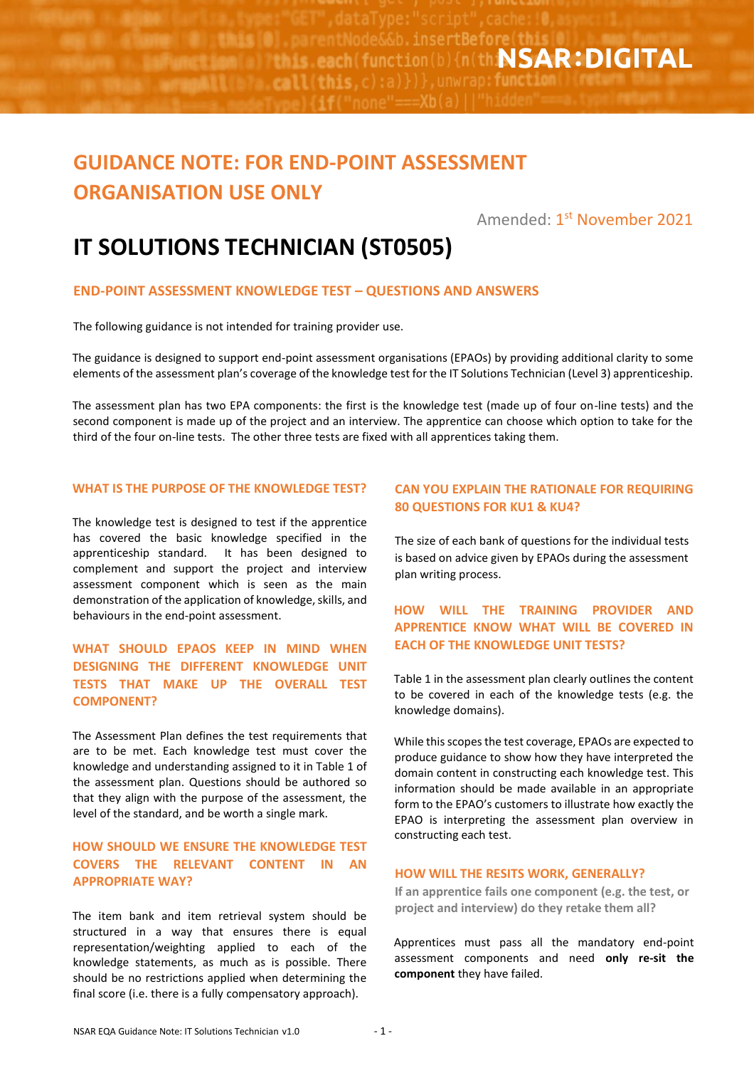**Misse : and September 2018 Example 20 Indis.each(function(b){n(th:NSAR:DIGITAL**  $\{x_1, x_2, x_3, x_4\}$  (b)  $\{x_1, x_2, x_3\}$  (c)  $\{x_1\}$  )  $\}$  , unwrap: function

# **GUIDANCE NOTE: FOR END-POINT ASSESSMENT ORGANISATION USE ONLY**

Amended: 1<sup>st</sup> <mark>November 2021</mark>

# **IT SOLUTIONS TECHNICIAN (ST0505)**

### **END-POINT ASSESSMENT KNOWLEDGE TEST – QUESTIONS AND ANSWERS**

The following guidance is not intended for training provider use.

The guidance is designed to support end-point assessment organisations (EPAOs) by providing additional clarity to some elements of the assessment plan's coverage of the knowledge test for the IT Solutions Technician (Level 3) apprenticeship.

The assessment plan has two EPA components: the first is the knowledge test (made up of four on-line tests) and the second component is made up of the project and an interview. The apprentice can choose which option to take for the third of the four on-line tests. The other three tests are fixed with all apprentices taking them.

#### **WHAT IS THE PURPOSE OF THE KNOWLEDGE TEST?**

The knowledge test is designed to test if the apprentice has covered the basic knowledge specified in the apprenticeship standard. It has been designed to complement and support the project and interview assessment component which is seen as the main demonstration of the application of knowledge, skills, and behaviours in the end-point assessment.

## **WHAT SHOULD EPAOS KEEP IN MIND WHEN DESIGNING THE DIFFERENT KNOWLEDGE UNIT TESTS THAT MAKE UP THE OVERALL TEST COMPONENT?**

The Assessment Plan defines the test requirements that are to be met. Each knowledge test must cover the knowledge and understanding assigned to it in Table 1 of the assessment plan. Questions should be authored so that they align with the purpose of the assessment, the level of the standard, and be worth a single mark.

#### **HOW SHOULD WE ENSURE THE KNOWLEDGE TEST COVERS THE RELEVANT CONTENT IN AN APPROPRIATE WAY?**

The item bank and item retrieval system should be structured in a way that ensures there is equal representation/weighting applied to each of the knowledge statements, as much as is possible. There should be no restrictions applied when determining the final score (i.e. there is a fully compensatory approach).

### **CAN YOU EXPLAIN THE RATIONALE FOR REQUIRING 80 QUESTIONS FOR KU1 & KU4?**

The size of each bank of questions for the individual tests is based on advice given by EPAOs during the assessment plan writing process.

# **HOW WILL THE TRAINING PROVIDER AND APPRENTICE KNOW WHAT WILL BE COVERED IN EACH OF THE KNOWLEDGE UNIT TESTS?**

Table 1 in the assessment plan clearly outlines the content to be covered in each of the knowledge tests (e.g. the knowledge domains).

While this scopes the test coverage, EPAOs are expected to produce guidance to show how they have interpreted the domain content in constructing each knowledge test. This information should be made available in an appropriate form to the EPAO's customers to illustrate how exactly the EPAO is interpreting the assessment plan overview in constructing each test.

#### **HOW WILL THE RESITS WORK, GENERALLY?**

**If an apprentice fails one component (e.g. the test, or project and interview) do they retake them all?** 

Apprentices must pass all the mandatory end-point assessment components and need **only re-sit the component** they have failed.